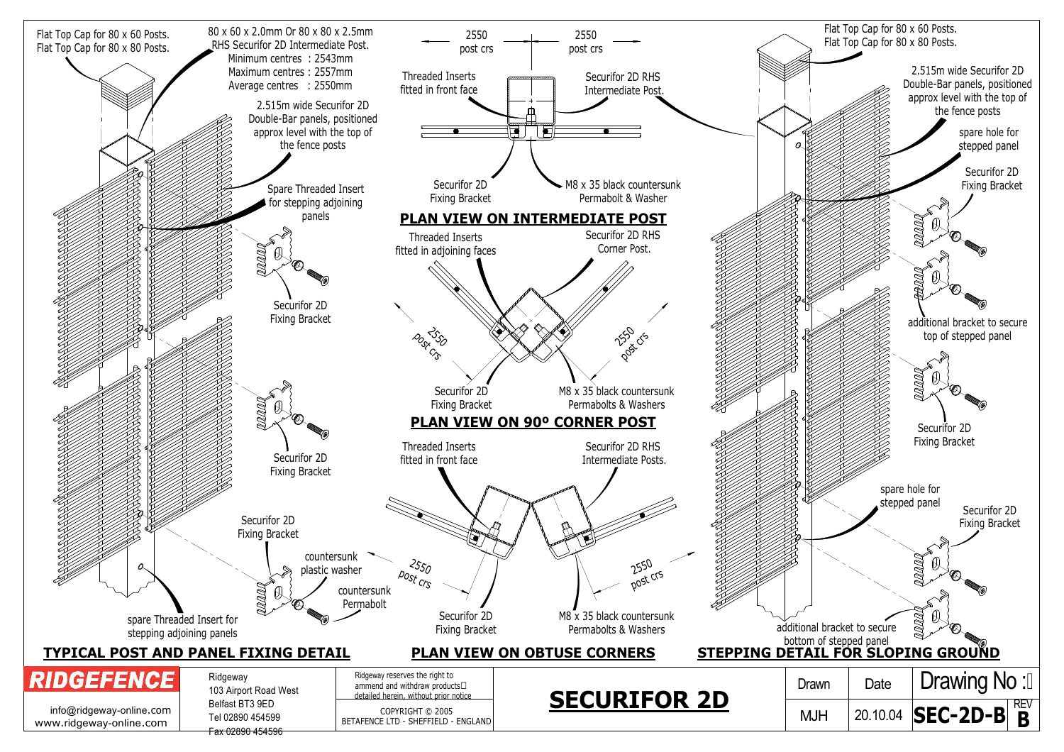